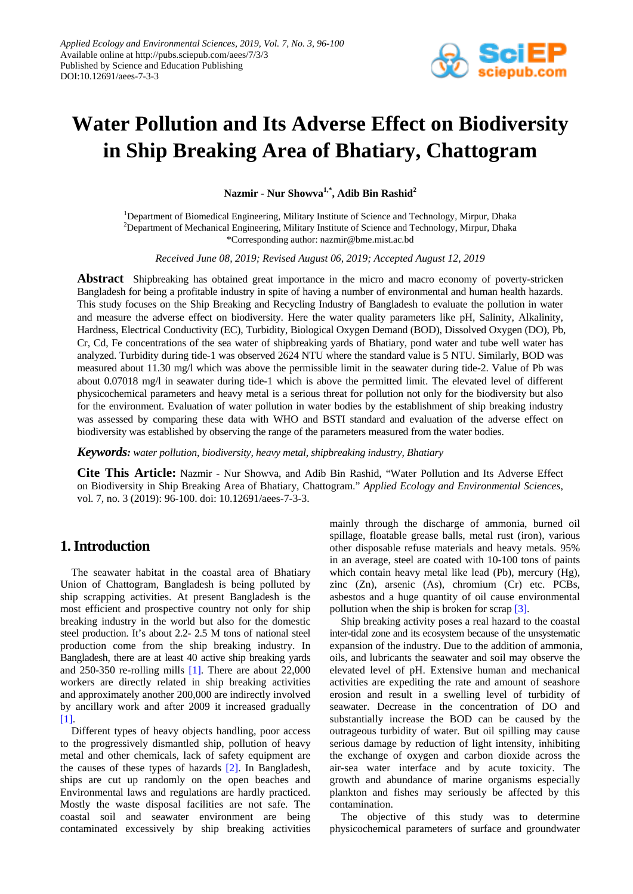

# **Water Pollution and Its Adverse Effect on Biodiversity in Ship Breaking Area of Bhatiary, Chattogram**

**Nazmir - Nur Showva1,\* , Adib Bin Rashid2**

<sup>1</sup>Department of Biomedical Engineering, Military Institute of Science and Technology, Mirpur, Dhaka <sup>2</sup>Department of Mechanical Engineering, Military Institute of Science and Technology, Mirpur, Dhaka \*Corresponding author: nazmir@bme.mist.ac.bd

*Received June 08, 2019; Revised August 06, 2019; Accepted August 12, 2019*

**Abstract** Shipbreaking has obtained great importance in the micro and macro economy of poverty-stricken Bangladesh for being a profitable industry in spite of having a number of environmental and human health hazards. This study focuses on the Ship Breaking and Recycling Industry of Bangladesh to evaluate the pollution in water and measure the adverse effect on biodiversity. Here the water quality parameters like pH, Salinity, Alkalinity, Hardness, Electrical Conductivity (EC), Turbidity, Biological Oxygen Demand (BOD), Dissolved Oxygen (DO), Pb, Cr, Cd, Fe concentrations of the sea water of shipbreaking yards of Bhatiary, pond water and tube well water has analyzed. Turbidity during tide-1 was observed 2624 NTU where the standard value is 5 NTU. Similarly, BOD was measured about 11.30 mg/l which was above the permissible limit in the seawater during tide-2. Value of Pb was about 0.07018 mg/l in seawater during tide-1 which is above the permitted limit. The elevated level of different physicochemical parameters and heavy metal is a serious threat for pollution not only for the biodiversity but also for the environment. Evaluation of water pollution in water bodies by the establishment of ship breaking industry was assessed by comparing these data with WHO and BSTI standard and evaluation of the adverse effect on biodiversity was established by observing the range of the parameters measured from the water bodies.

*Keywords: water pollution, biodiversity, heavy metal, shipbreaking industry, Bhatiary*

**Cite This Article:** Nazmir - Nur Showva, and Adib Bin Rashid, "Water Pollution and Its Adverse Effect on Biodiversity in Ship Breaking Area of Bhatiary, Chattogram." *Applied Ecology and Environmental Sciences*, vol. 7, no. 3 (2019): 96-100. doi: 10.12691/aees-7-3-3.

## **1. Introduction**

The seawater habitat in the coastal area of Bhatiary Union of Chattogram, Bangladesh is being polluted by ship scrapping activities. At present Bangladesh is the most efficient and prospective country not only for ship breaking industry in the world but also for the domestic steel production. It's about 2.2- 2.5 M tons of national steel production come from the ship breaking industry. In Bangladesh, there are at least 40 active ship breaking yards and 250-350 re-rolling mills [\[1\].](#page-3-0) There are about 22,000 workers are directly related in ship breaking activities and approximately another 200,000 are indirectly involved by ancillary work and after 2009 it increased gradually [\[1\].](#page-3-0)

Different types of heavy objects handling, poor access to the progressively dismantled ship, pollution of heavy metal and other chemicals, lack of safety equipment are the causes of these types of hazards [\[2\].](#page-4-0) In Bangladesh, ships are cut up randomly on the open beaches and Environmental laws and regulations are hardly practiced. Mostly the waste disposal facilities are not safe. The coastal soil and seawater environment are being contaminated excessively by ship breaking activities mainly through the discharge of ammonia, burned oil spillage, floatable grease balls, metal rust (iron), various other disposable refuse materials and heavy metals. 95% in an average, steel are coated with 10-100 tons of paints which contain heavy metal like lead (Pb), mercury (Hg), zinc (Zn), arsenic (As), chromium (Cr) etc. PCBs, asbestos and a huge quantity of oil cause environmental pollution when the ship is broken for scrap [\[3\].](#page-4-1)

Ship breaking activity poses a real hazard to the coastal inter-tidal zone and its ecosystem because of the unsystematic expansion of the industry. Due to the addition of ammonia, oils, and lubricants the seawater and soil may observe the elevated level of pH. Extensive human and mechanical activities are expediting the rate and amount of seashore erosion and result in a swelling level of turbidity of seawater. Decrease in the concentration of DO and substantially increase the BOD can be caused by the outrageous turbidity of water. But oil spilling may cause serious damage by reduction of light intensity, inhibiting the exchange of oxygen and carbon dioxide across the air-sea water interface and by acute toxicity. The growth and abundance of marine organisms especially plankton and fishes may seriously be affected by this contamination.

The objective of this study was to determine physicochemical parameters of surface and groundwater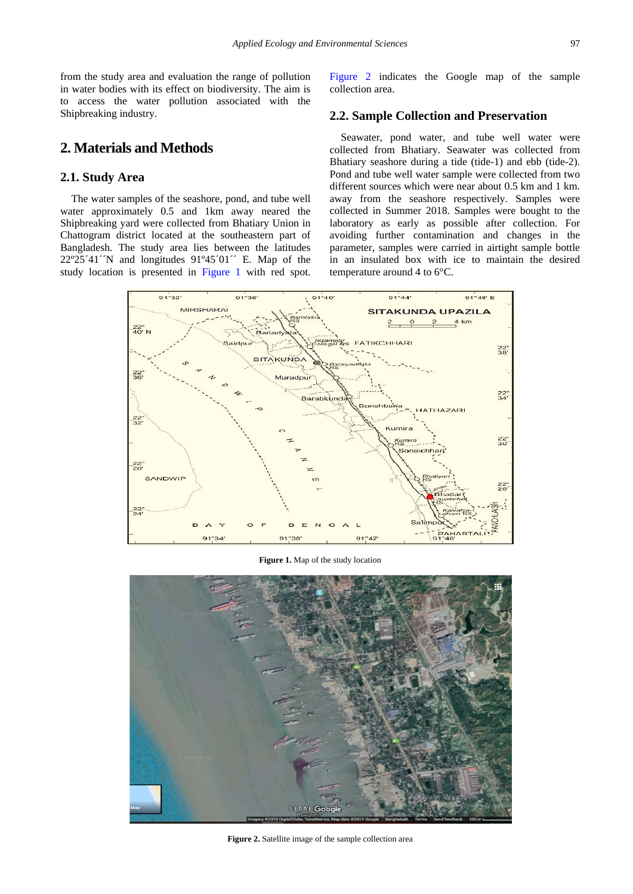from the study area and evaluation the range of pollution in water bodies with its effect on biodiversity. The aim is to access the water pollution associated with the Shipbreaking industry.

# **2. Materials and Methods**

#### **2.1. Study Area**

The water samples of the seashore, pond, and tube well water approximately 0.5 and 1km away neared the Shipbreaking yard were collected from Bhatiary Union in Chattogram district located at the southeastern part of Bangladesh. The study area lies between the latitudes  $22^{\circ}25'41'$ <sup>N</sup> and longitudes  $91^{\circ}45'01'$ <sup> $\cdot$ </sup> E. Map of the study location is presented in [Figure 1](#page-1-0) with red spot. [Figure 2](#page-1-1) indicates the Google map of the sample collection area.

#### **2.2. Sample Collection and Preservation**

Seawater, pond water, and tube well water were collected from Bhatiary. Seawater was collected from Bhatiary seashore during a tide (tide-1) and ebb (tide-2). Pond and tube well water sample were collected from two different sources which were near about 0.5 km and 1 km. away from the seashore respectively. Samples were collected in Summer 2018. Samples were bought to the laboratory as early as possible after collection. For avoiding further contamination and changes in the parameter, samples were carried in airtight sample bottle in an insulated box with ice to maintain the desired temperature around 4 to 6°C.

<span id="page-1-0"></span>

**Figure 1.** Map of the study location

<span id="page-1-1"></span>

**Figure 2.** Satellite image of the sample collection area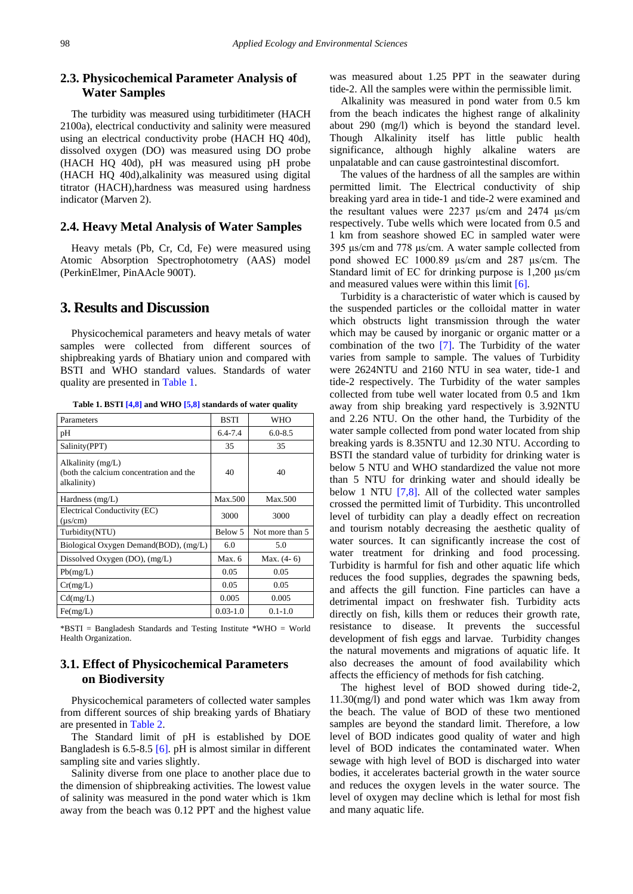## **2.3. Physicochemical Parameter Analysis of Water Samples**

The turbidity was measured using turbiditimeter (HACH 2100a), electrical conductivity and salinity were measured using an electrical conductivity probe (HACH HQ 40d), dissolved oxygen (DO) was measured using DO probe (HACH HQ 40d), pH was measured using pH probe (HACH HQ 40d),alkalinity was measured using digital titrator (HACH),hardness was measured using hardness indicator (Marven 2).

#### **2.4. Heavy Metal Analysis of Water Samples**

Heavy metals (Pb, Cr, Cd, Fe) were measured using Atomic Absorption Spectrophotometry (AAS) model (PerkinElmer, PinAAcle 900T).

## **3. Results and Discussion**

Physicochemical parameters and heavy metals of water samples were collected from different sources of shipbreaking yards of Bhatiary union and compared with BSTI and WHO standard values. Standards of water quality are presented in [Table 1.](#page-2-0)

<span id="page-2-0"></span>

| Parameters                                                                  | <b>BSTI</b>  | <b>WHO</b>      |
|-----------------------------------------------------------------------------|--------------|-----------------|
| pH                                                                          | $6.4 - 7.4$  | $6.0 - 8.5$     |
| Salinity(PPT)                                                               | 35           | 35              |
| Alkalinity (mg/L)<br>(both the calcium concentration and the<br>alkalinity) | 40           | 40              |
| Hardness $(mg/L)$                                                           | Max.500      | Max.500         |
| Electrical Conductivity (EC)<br>$(\mu s/cm)$                                | 3000         | 3000            |
| Turbidity(NTU)                                                              | Below 5      | Not more than 5 |
| Biological Oxygen Demand(BOD), (mg/L)                                       | 6.0          | 5.0             |
| Dissolved Oxygen $(DO)$ , $(mg/L)$                                          | Max.6        | Max. (4-6)      |
| Pb(mg/L)                                                                    | 0.05         | 0.05            |
| Cr(mg/L)                                                                    | 0.05         | 0.05            |
| Cd(mg/L)                                                                    | 0.005        | 0.005           |
| Fe(mg/L)                                                                    | $0.03 - 1.0$ | $0.1 - 1.0$     |

**Table 1. BST[I \[4,8\]](#page-4-2) and WHO [\[5,8\]](#page-4-3) standards of water quality**

\*BSTI = Bangladesh Standards and Testing Institute \*WHO = World Health Organization.

#### **3.1. Effect of Physicochemical Parameters on Biodiversity**

Physicochemical parameters of collected water samples from different sources of ship breaking yards of Bhatiary are presented i[n Table 2.](#page-3-1)

The Standard limit of pH is established by DOE Bangladesh is 6.5-8.5 [\[6\].](#page-4-4) pH is almost similar in different sampling site and varies slightly.

Salinity diverse from one place to another place due to the dimension of shipbreaking activities. The lowest value of salinity was measured in the pond water which is 1km away from the beach was 0.12 PPT and the highest value

was measured about 1.25 PPT in the seawater during tide-2. All the samples were within the permissible limit.

Alkalinity was measured in pond water from 0.5 km from the beach indicates the highest range of alkalinity about 290 (mg/l) which is beyond the standard level. Though Alkalinity itself has little public health significance, although highly alkaline waters are unpalatable and can cause gastrointestinal discomfort.

The values of the hardness of all the samples are within permitted limit. The Electrical conductivity of ship breaking yard area in tide-1 and tide-2 were examined and the resultant values were 2237 μs/cm and 2474 μs/cm respectively. Tube wells which were located from 0.5 and 1 km from seashore showed EC in sampled water were 395 μs/cm and 778 μs/cm. A water sample collected from pond showed EC 1000.89 μs/cm and 287 μs/cm. The Standard limit of EC for drinking purpose is 1,200 μs/cm and measured values were within this limit [\[6\].](#page-4-4)

Turbidity is a characteristic of water which is caused by the suspended particles or the colloidal matter in water which obstructs light transmission through the water which may be caused by inorganic or organic matter or a combination of the two [\[7\].](#page-4-5) The Turbidity of the water varies from sample to sample. The values of Turbidity were 2624NTU and 2160 NTU in sea water, tide-1 and tide-2 respectively. The Turbidity of the water samples collected from tube well water located from 0.5 and 1km away from ship breaking yard respectively is 3.92NTU and 2.26 NTU. On the other hand, the Turbidity of the water sample collected from pond water located from ship breaking yards is 8.35NTU and 12.30 NTU. According to BSTI the standard value of turbidity for drinking water is below 5 NTU and WHO standardized the value not more than 5 NTU for drinking water and should ideally be below 1 NTU [\[7,8\].](#page-4-5) All of the collected water samples crossed the permitted limit of Turbidity. This uncontrolled level of turbidity can play a deadly effect on recreation and tourism notably decreasing the aesthetic quality of water sources. It can significantly increase the cost of water treatment for drinking and food processing. Turbidity is harmful for fish and other aquatic life which reduces the food supplies, degrades the spawning beds, and affects the gill function. Fine particles can have a detrimental impact on freshwater fish. Turbidity acts directly on fish, kills them or reduces their growth rate, resistance to disease. It prevents the successful development of fish eggs and larvae. Turbidity changes the natural movements and migrations of aquatic life. It also decreases the amount of food availability which affects the efficiency of methods for fish catching.

The highest level of BOD showed during tide-2, 11.30(mg/l) and pond water which was 1km away from the beach. The value of BOD of these two mentioned samples are beyond the standard limit. Therefore, a low level of BOD indicates good quality of water and high level of BOD indicates the contaminated water. When sewage with high level of BOD is discharged into water bodies, it accelerates bacterial growth in the water source and reduces the oxygen levels in the water source. The level of oxygen may decline which is lethal for most fish and many aquatic life.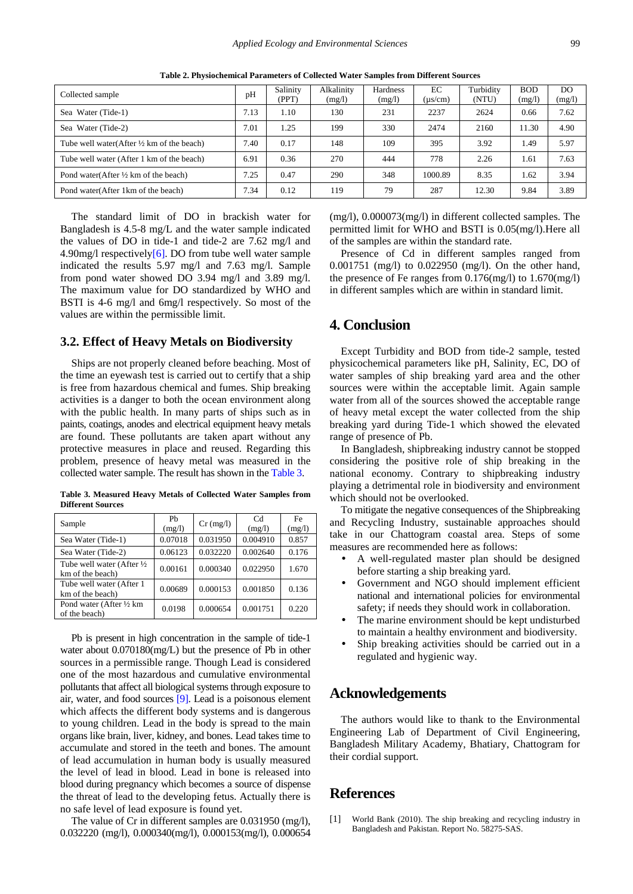<span id="page-3-1"></span>

| Collected sample                                         | pH   | Salinity<br>(PPT) | Alkalinity<br>(mg/l) | Hardness<br>(mg/l) | EC<br>$(\mu s/cm)$ | Turbidity<br>(NTU) | <b>BOD</b><br>(mg/l) | DO.<br>(mg/l) |
|----------------------------------------------------------|------|-------------------|----------------------|--------------------|--------------------|--------------------|----------------------|---------------|
| Sea Water (Tide-1)                                       | 7.13 | 1.10              | 130                  | 231                | 2237               | 2624               | 0.66                 | 7.62          |
| Sea Water (Tide-2)                                       | 7.01 | 1.25              | 199                  | 330                | 2474               | 2160               | 11.30                | 4.90          |
| Tube well water $(A$ fter $\frac{1}{2}$ km of the beach) | 7.40 | 0.17              | 148                  | 109                | 395                | 3.92               | 1.49                 | 5.97          |
| Tube well water (After 1 km of the beach)                | 6.91 | 0.36              | 270                  | 444                | 778                | 2.26               | 1.61                 | 7.63          |
| Pond water(After $\frac{1}{2}$ km of the beach)          | 7.25 | 0.47              | 290                  | 348                | 1000.89            | 8.35               | 1.62                 | 3.94          |
| Pond water (After 1 km of the beach)                     | 7.34 | 0.12              | 119                  | 79                 | 287                | 12.30              | 9.84                 | 3.89          |

**Table 2. Physiochemical Parameters of Collected Water Samples from Different Sources**

The standard limit of DO in brackish water for Bangladesh is 4.5-8 mg/L and the water sample indicated the values of DO in tide-1 and tide-2 are 7.62 mg/l and 4.90mg/l respectively $[6]$ . DO from tube well water sample indicated the results 5.97 mg/l and 7.63 mg/l. Sample from pond water showed DO 3.94 mg/l and 3.89 mg/l. The maximum value for DO standardized by WHO and BSTI is 4-6 mg/l and 6mg/l respectively. So most of the values are within the permissible limit.

#### **3.2. Effect of Heavy Metals on Biodiversity**

Ships are not properly cleaned before beaching. Most of the time an eyewash test is carried out to certify that a ship is free from hazardous chemical and fumes. Ship breaking activities is a danger to both the ocean environment along with the public health. In many parts of ships such as in paints, coatings, anodes and electrical equipment heavy metals are found. These pollutants are taken apart without any protective measures in place and reused. Regarding this problem, presence of heavy metal was measured in the collected water sample. The result has shown in th[e Table 3.](#page-3-2)

| Table 3. Measured Heavy Metals of Collected Water Samples from |  |  |  |  |
|----------------------------------------------------------------|--|--|--|--|
| <b>Different Sources</b>                                       |  |  |  |  |

<span id="page-3-2"></span>

| Sample                                                     | Ph<br>(mg/l) | $Cr$ (mg/l) | Cd<br>(mg/l) | Fe<br>(mg/l) |
|------------------------------------------------------------|--------------|-------------|--------------|--------------|
| Sea Water (Tide-1)                                         | 0.07018      | 0.031950    | 0.004910     | 0.857        |
| Sea Water (Tide-2)                                         | 0.06123      | 0.032220    | 0.002640     | 0.176        |
| Tube well water (After $\frac{1}{2}$ )<br>km of the beach) | 0.00161      | 0.000340    | 0.022950     | 1.670        |
| Tube well water (After 1)<br>km of the beach)              | 0.00689      | 0.000153    | 0.001850     | 0.136        |
| Pond water (After 1/2 km)<br>of the beach)                 | 0.0198       | 0.000654    | 0.001751     | 0.220        |

Pb is present in high concentration in the sample of tide-1 water about 0.070180(mg/L) but the presence of Pb in other sources in a permissible range. Though Lead is considered one of the most hazardous and cumulative environmental pollutants that affect all biological systems through exposure to air, water, and food sources [\[9\].](#page-4-6) Lead is a poisonous element which affects the different body systems and is dangerous to young children. Lead in the body is spread to the main organs like brain, liver, kidney, and bones. Lead takes time to accumulate and stored in the teeth and bones. The amount of lead accumulation in human body is usually measured the level of lead in blood. Lead in bone is released into blood during pregnancy which becomes a source of dispense the threat of lead to the developing fetus. Actually there is no safe level of lead exposure is found yet.

The value of Cr in different samples are 0.031950 (mg/l), 0.032220 (mg/l), 0.000340(mg/l), 0.000153(mg/l), 0.000654 (mg/l), 0.000073(mg/l) in different collected samples. The permitted limit for WHO and BSTI is 0.05(mg/l).Here all of the samples are within the standard rate.

Presence of Cd in different samples ranged from 0.001751 (mg/l) to 0.022950 (mg/l). On the other hand, the presence of Fe ranges from 0.176(mg/l) to 1.670(mg/l) in different samples which are within in standard limit.

## **4. Conclusion**

Except Turbidity and BOD from tide-2 sample, tested physicochemical parameters like pH, Salinity, EC, DO of water samples of ship breaking yard area and the other sources were within the acceptable limit. Again sample water from all of the sources showed the acceptable range of heavy metal except the water collected from the ship breaking yard during Tide-1 which showed the elevated range of presence of Pb.

In Bangladesh, shipbreaking industry cannot be stopped considering the positive role of ship breaking in the national economy. Contrary to shipbreaking industry playing a detrimental role in biodiversity and environment which should not be overlooked.

To mitigate the negative consequences of the Shipbreaking and Recycling Industry, sustainable approaches should take in our Chattogram coastal area. Steps of some measures are recommended here as follows:

- A well-regulated master plan should be designed before starting a ship breaking yard.
- Government and NGO should implement efficient national and international policies for environmental safety; if needs they should work in collaboration.
- The marine environment should be kept undisturbed to maintain a healthy environment and biodiversity.
- Ship breaking activities should be carried out in a regulated and hygienic way.

### **Acknowledgements**

The authors would like to thank to the Environmental Engineering Lab of Department of Civil Engineering, Bangladesh Military Academy, Bhatiary, Chattogram for their cordial support.

#### **References**

<span id="page-3-0"></span>[1] World Bank (2010). The ship breaking and recycling industry in Bangladesh and Pakistan. Report No. 58275-SAS.